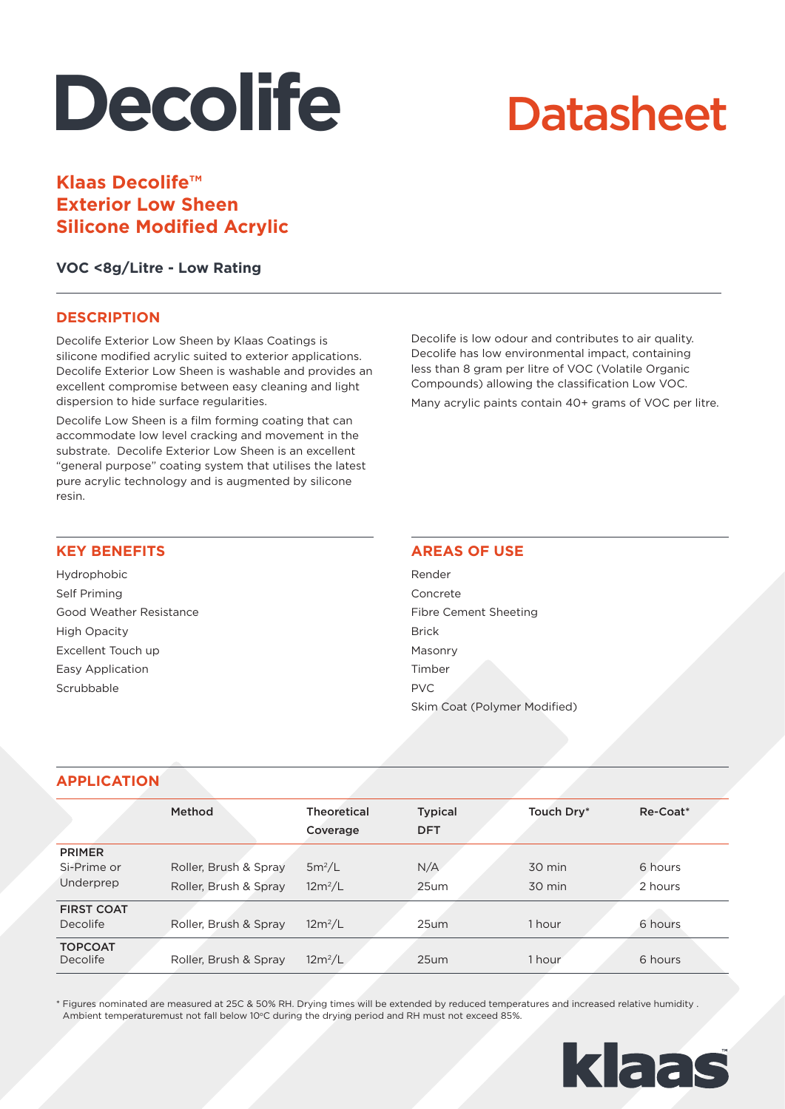# **Decolife**

## **Datasheet**

### **Klaas Decolife™ Exterior Low Sheen Silicone Modified Acrylic**

**VOC <8g/Litre - Low Rating**

#### **DESCRIPTION**

Decolife Exterior Low Sheen by Klaas Coatings is silicone modified acrylic suited to exterior applications. Decolife Exterior Low Sheen is washable and provides an excellent compromise between easy cleaning and light dispersion to hide surface regularities.

Decolife Low Sheen is a film forming coating that can accommodate low level cracking and movement in the substrate. Decolife Exterior Low Sheen is an excellent "general purpose" coating system that utilises the latest pure acrylic technology and is augmented by silicone resin.

Decolife is low odour and contributes to air quality. Decolife has low environmental impact, containing less than 8 gram per litre of VOC (Volatile Organic Compounds) allowing the classification Low VOC.

Many acrylic paints contain 40+ grams of VOC per litre.

#### **KEY BENEFITS**

Hydrophobic Self Priming Good Weather Resistance High Opacity Excellent Touch up Easy Application **Scrubbable** 

#### **AREAS OF USE**

Render Concrete Fibre Cement Sheeting Brick Masonry Timber PVC Skim Coat (Polymer Modified)

#### **APPLICATION**

|                            | Method                | <b>Theoretical</b><br>Coverage | <b>Typical</b><br><b>DFT</b> | Touch Dry* | Re-Coat* |
|----------------------------|-----------------------|--------------------------------|------------------------------|------------|----------|
| <b>PRIMER</b>              |                       |                                |                              |            |          |
| Si-Prime or                | Roller, Brush & Spray | $5m^2/L$                       | N/A                          | 30 min     | 6 hours  |
| Underprep                  | Roller, Brush & Spray | $12m^2/L$                      | 25um                         | 30 min     | 2 hours  |
| <b>FIRST COAT</b>          |                       |                                |                              |            |          |
| Decolife                   | Roller, Brush & Spray | $12m^2/L$                      | $25$ um                      | 1 hour     | 6 hours  |
| <b>TOPCOAT</b><br>Decolife | Roller, Brush & Spray | $12m^2/L$                      | 25 <sub>um</sub>             | 1 hour     | 6 hours  |

\* Figures nominated are measured at 25C & 50% RH. Drying times will be extended by reduced temperatures and increased relative humidity . Ambient temperaturemust not fall below 10°C during the drying period and RH must not exceed 85%.